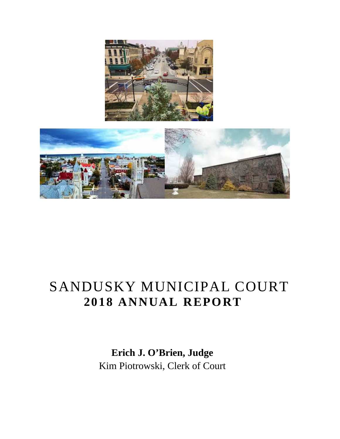

# SANDUSKY MUNICIPAL COURT **2018 ANNUAL REPORT**

 **Erich J. O'Brien, Judge** Kim Piotrowski, Clerk of Court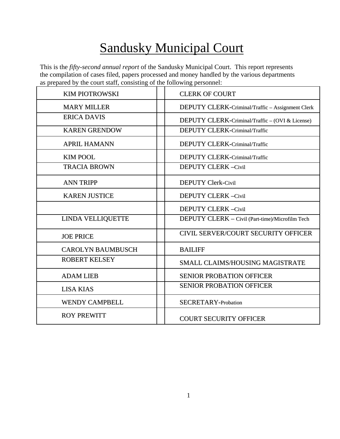# Sandusky Municipal Court

This is the *fifty-second annual report* of the Sandusky Municipal Court. This report represents the compilation of cases filed, papers processed and money handled by the various departments as prepared by the court staff, consisting of the following personnel:

| <b>KIM PIOTROWSKI</b>    | <b>CLERK OF COURT</b>                            |
|--------------------------|--------------------------------------------------|
| <b>MARY MILLER</b>       | DEPUTY CLERK-Criminal/Traffic - Assignment Clerk |
| <b>ERICA DAVIS</b>       | DEPUTY CLERK-Criminal/Traffic – (OVI & License)  |
| <b>KAREN GRENDOW</b>     | <b>DEPUTY CLERK-Criminal/Traffic</b>             |
| <b>APRIL HAMANN</b>      | DEPUTY CLERK-Criminal/Traffic                    |
| <b>KIM POOL</b>          | DEPUTY CLERK-Criminal/Traffic                    |
| <b>TRACIA BROWN</b>      | <b>DEPUTY CLERK-Civil</b>                        |
| <b>ANN TRIPP</b>         | <b>DEPUTY Clerk-Civil</b>                        |
| <b>KAREN JUSTICE</b>     | <b>DEPUTY CLERK-Civil</b>                        |
|                          | <b>DEPUTY CLERK-Civil</b>                        |
| <b>LINDA VELLIQUETTE</b> | DEPUTY CLERK - Civil (Part-time)/Microfilm Tech  |
| <b>JOE PRICE</b>         | CIVIL SERVER/COURT SECURITY OFFICER              |
| <b>CAROLYN BAUMBUSCH</b> | <b>BAILIFF</b>                                   |
| <b>ROBERT KELSEY</b>     | SMALL CLAIMS/HOUSING MAGISTRATE                  |
| <b>ADAM LIEB</b>         | <b>SENIOR PROBATION OFFICER</b>                  |
| <b>LISA KIAS</b>         | <b>SENIOR PROBATION OFFICER</b>                  |
| <b>WENDY CAMPBELL</b>    | <b>SECRETARY-Probation</b>                       |
| <b>ROY PREWITT</b>       | <b>COURT SECURITY OFFICER</b>                    |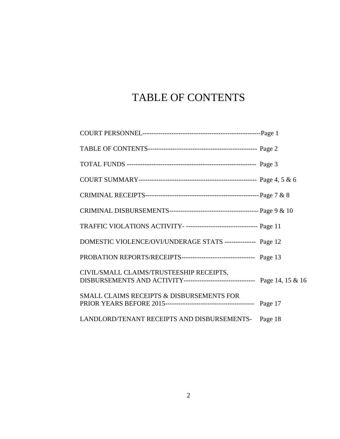## TABLE OF CONTENTS

| TRAFFIC VIOLATIONS ACTIVITY- -------------------------------- Page 11                                                   |  |
|-------------------------------------------------------------------------------------------------------------------------|--|
| DOMESTIC VIOLENCE/OVI/UNDERAGE STATS -------------- Page 12                                                             |  |
| PROBATION REPORTS/RECEIPTS--------------------------------- Page 13                                                     |  |
| CIVIL/SMALL CLAIMS/TRUSTEESHIP RECEIPTS,<br>DISBURSEMENTS AND ACTIVITY-------------------------------- Page 14, 15 & 16 |  |
| SMALL CLAIMS RECEIPTS & DISBURSEMENTS FOR                                                                               |  |
| LANDLORD/TENANT RECEIPTS AND DISBURSEMENTS- Page 18                                                                     |  |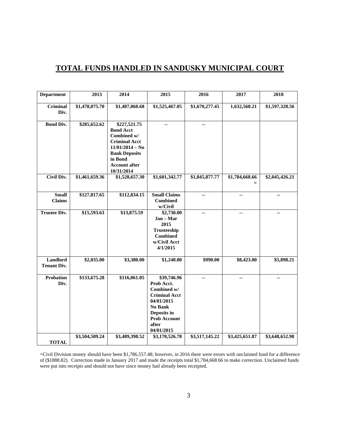#### **TOTAL FUNDS HANDLED IN SANDUSKY MUNICIPAL COURT**

| <b>Department</b>              | 2013           | 2014                                                                                                                                                                  | 2015                                                                                                                                                   | 2016           | 2017                  | 2018           |
|--------------------------------|----------------|-----------------------------------------------------------------------------------------------------------------------------------------------------------------------|--------------------------------------------------------------------------------------------------------------------------------------------------------|----------------|-----------------------|----------------|
| <b>Criminal</b><br>Div.        | \$1,478,075.70 | \$1,487,068.68                                                                                                                                                        | \$1,525,467.05                                                                                                                                         | \$1,670,277.45 | 1,632,560.21          | \$1,597,328.56 |
| <b>Bond Div.</b>               | \$285,652.62   | \$227,521.75<br><b>Bond Acct</b><br>Combined w/<br><b>Criminal Acct</b><br>$11/01/2014 - No$<br><b>Bank Deposits</b><br>in Bond<br><b>Account after</b><br>10/31/2014 | $\overline{\phantom{a}}$                                                                                                                               | н.             |                       |                |
| <b>Civil Div.</b>              | \$1,461,659.36 | \$1,528,657.30                                                                                                                                                        | \$1,601,342.77                                                                                                                                         | \$1,845,877.77 | \$1,784,668.66<br>$=$ | \$2,045,426.21 |
| <b>Small</b><br><b>Claims</b>  | \$127,817.65   | \$112,834.15                                                                                                                                                          | <b>Small Claims</b><br><b>Combined</b><br>w/Civil                                                                                                      | --             | --                    | --             |
| <b>Trustee Div.</b>            | \$15,593.63    | \$13,875.59                                                                                                                                                           | \$2,730.00<br>$Jan - Mar$<br>2015<br>Trusteeship<br><b>Combined</b><br>w/Civil Acct<br>4/1/2015                                                        | ۰.             | ٠.                    | ۰.             |
| Landlord<br><b>Tenant Div.</b> | \$2,035.00     | \$3,380.00                                                                                                                                                            | \$1,240.00                                                                                                                                             | \$990.00       | \$8,423.00            | \$5,898.21     |
| Probation<br>Div.              | \$133,675.28   | \$116,061.05                                                                                                                                                          | \$39,746.96<br>Prob Acct.<br>Combined w/<br><b>Criminal Acct</b><br>04/01/2015<br>No Bank<br>Deposits in<br><b>Prob Account</b><br>after<br>04/01/2015 | $\overline{a}$ | $\overline{a}$        | Ξ.             |
| <b>TOTAL</b>                   | \$3,504,509.24 | \$3,489,398.52                                                                                                                                                        | \$3,170,526.78                                                                                                                                         | \$3,517,145.22 | \$3,425,651.87        | \$3,648,652.98 |

=Civil Division money should have been \$1,786,557.48; however, in 2016 there were errors with unclaimed fund for a difference of (\$1888.82). Correction made in January 2017 and made the receipts total \$1,784,668.66 to make correction. Unclaimed funds were put into receipts and should not have since money had already been receipted.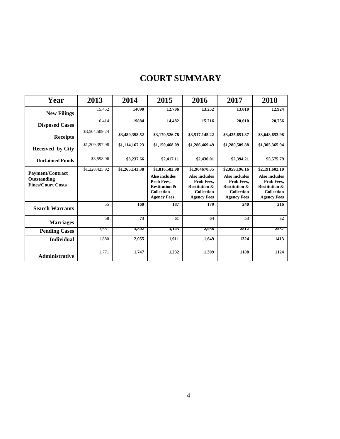### **COURT SUMMARY**

| Year                                                        | 2013           | 2014           | 2015                                                                                                                        | 2016                                                                                                                       | 2017                                                                                                                        | 2018                                                                                                                        |
|-------------------------------------------------------------|----------------|----------------|-----------------------------------------------------------------------------------------------------------------------------|----------------------------------------------------------------------------------------------------------------------------|-----------------------------------------------------------------------------------------------------------------------------|-----------------------------------------------------------------------------------------------------------------------------|
| <b>New Filings</b>                                          | 15,452         | 14090          | 12,706                                                                                                                      | 13,252                                                                                                                     | 13,010                                                                                                                      | 12,924                                                                                                                      |
| <b>Disposed Cases</b>                                       | 16,414         | 19884          | 14,482                                                                                                                      | 15,216                                                                                                                     | 20,010                                                                                                                      | 20,756                                                                                                                      |
| <b>Receipts</b>                                             | \$3,504,509.24 | \$3,489,398.52 | \$3,170,526.78                                                                                                              | \$3,517,145.22                                                                                                             | \$3,425,651.87                                                                                                              | \$3,648,652.98                                                                                                              |
| Received by City                                            | \$1,209,397.98 | \$1,114,167.23 | \$1,150,468.09                                                                                                              | \$1,286,469.49                                                                                                             | \$1,280,509.88                                                                                                              | \$1,305,365.94                                                                                                              |
| <b>Unclaimed Funds</b>                                      | \$3,598.96     | \$3,237.66     | \$2,417.11                                                                                                                  | \$2,430.01                                                                                                                 | \$2,394.21                                                                                                                  | \$5,575.79                                                                                                                  |
| Payment/Contract<br>Outstanding<br><b>Fines/Court Costs</b> | \$1,228,425.92 | \$1,265,143.38 | \$1,816,582.98<br><b>Also includes</b><br>Prob Fees.<br><b>Restitution &amp;</b><br><b>Collection</b><br><b>Agency Fees</b> | \$1,964670.35<br><b>Also includes</b><br>Prob Fees.<br><b>Restitution &amp;</b><br><b>Collection</b><br><b>Agency Fees</b> | \$2,059,196.16<br><b>Also includes</b><br>Prob Fees.<br><b>Restitution &amp;</b><br><b>Collection</b><br><b>Agency Fees</b> | \$2,191,602.10<br><b>Also includes</b><br>Prob Fees.<br><b>Restitution &amp;</b><br><b>Collection</b><br><b>Agency Fees</b> |
| <b>Search Warrants</b>                                      | 55             | 160            | 187                                                                                                                         | 179                                                                                                                        | 240                                                                                                                         | 216                                                                                                                         |
| <b>Marriages</b>                                            | 58             | 73             | 61                                                                                                                          | 64                                                                                                                         | 53                                                                                                                          | 32                                                                                                                          |
| <b>Pending Cases</b>                                        | 3,651          | 3,802          | 3,143                                                                                                                       | 2,958                                                                                                                      | 2512                                                                                                                        | 2537                                                                                                                        |
| <b>Individual</b>                                           | 1,880          | 2,055          | 1,911                                                                                                                       | 1,649                                                                                                                      | 1324                                                                                                                        | 1413                                                                                                                        |
| <b>Administrative</b>                                       | 1,771          | 1,747          | 1,232                                                                                                                       | 1,309                                                                                                                      | 1188                                                                                                                        | 1124                                                                                                                        |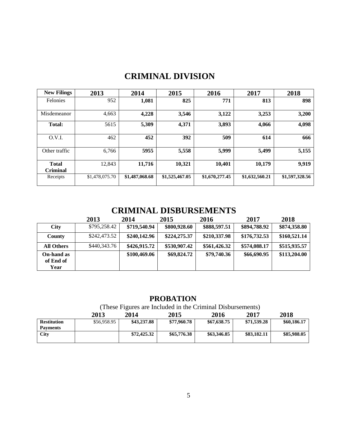### **CRIMINAL DIVISION**

| <b>New Filings</b>              | 2013           | 2014           | 2015           | 2016           | 2017           | 2018           |
|---------------------------------|----------------|----------------|----------------|----------------|----------------|----------------|
| Felonies                        | 952            | 1,081          | 825            | 771            | 813            | 898            |
| Misdemeanor                     | 4,663          | 4,228          | 3,546          | 3,122          | 3,253          | 3,200          |
| Total:                          | 5615           | 5,309          | 4,371          | 3,893          | 4,066          | 4,098          |
| O.V.I.                          | 462            | 452            | 392            | 509            | 614            | 666            |
| Other traffic                   | 6,766          | 5955           | 5,558          | 5,999          | 5,499          | 5,155          |
| <b>Total</b><br><b>Criminal</b> | 12.843         | 11,716         | 10,321         | 10,401         | 10,179         | 9,919          |
| Receipts                        | \$1,478,075.70 | \$1,487,068.68 | \$1,525,467.05 | \$1,670,277.45 | \$1,632,560.21 | \$1,597,328.56 |

### **CRIMINAL DISBURSEMENTS 2013 2014 2015 2016 2017 <sup>2018</sup>**

|                                        | 2013         | 2014         | 2015         | 2016         | 2017         | 2018         |
|----------------------------------------|--------------|--------------|--------------|--------------|--------------|--------------|
| <b>City</b>                            | \$795,258.42 | \$719,540.94 | \$800,928.60 | \$888,597.51 | \$894,788.92 | \$874,358.80 |
| County                                 | \$242,473.52 | \$240,142.96 | \$224,275.37 | \$210,337.98 | \$176,732.53 | \$160,521.14 |
| <b>All Others</b>                      | \$440,343.76 | \$426,915.72 | \$530,907.42 | \$561,426.32 | \$574,088.17 | \$515,935.57 |
| <b>On-hand as</b><br>of End of<br>Year |              | \$100,469.06 | \$69,824.72  | \$79,740.36  | \$66,690.95  | \$113,204.00 |

#### **PROBATION**

(These Figures are Included in the Criminal Disbursements)

|                    | 2013        | 2014        | 2015        | 2016        | 2017        | 2018        |
|--------------------|-------------|-------------|-------------|-------------|-------------|-------------|
| <b>Restitution</b> | \$56,958.95 | \$43,237.88 | \$77,960.78 | \$67,638.75 | \$71,539.28 | \$60,186.17 |
| <b>Payments</b>    |             |             |             |             |             |             |
| City               |             | \$72,425.32 | \$65,776.38 | \$63,346.85 | \$83,182.11 | \$85,988.05 |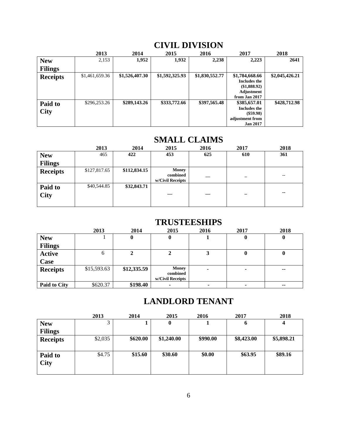|                        | 2013           | 2014           | 2015           | 2016           | 2017                                                                                     | 2018           |
|------------------------|----------------|----------------|----------------|----------------|------------------------------------------------------------------------------------------|----------------|
| <b>New</b>             | 2,153          | 1,952          | 1,932          | 2,238          | 2,223                                                                                    | 2641           |
| <b>Filings</b>         |                |                |                |                |                                                                                          |                |
| <b>Receipts</b>        | \$1,461,659.36 | \$1,526,407.30 | \$1,592,325.93 | \$1,830,552.77 | \$1,784,668.66<br><b>Includes the</b><br>(\$1,888.92)<br>Adjustment<br>from Jan 2017     | \$2,045,426.21 |
| Paid to<br><b>City</b> | \$296,253.26   | \$289,143.26   | \$333,772.66   | \$397,565.48   | \$385,657.01<br><b>Includes the</b><br>$(\$59.98)$<br>adjustment from<br><b>Jan 2017</b> | \$428,712.98   |

### **CIVIL DIVISION**

### **SMALL CLAIMS**

|                 | 2013         | 2014         | 2015             | 2016                     | 2017                     | 2018                     |
|-----------------|--------------|--------------|------------------|--------------------------|--------------------------|--------------------------|
| <b>New</b>      | 465          | 422          | 453              | 625                      | 610                      | 361                      |
| <b>Filings</b>  |              |              |                  |                          |                          |                          |
| <b>Receipts</b> | \$127,817.65 | \$112,834.15 | Money            |                          |                          |                          |
|                 |              |              | combined         |                          | $\overline{\phantom{a}}$ | $\overline{\phantom{a}}$ |
|                 |              |              | w/Civil Receipts |                          |                          |                          |
| Paid to         | \$40,544.85  | \$32,843.71  |                  |                          |                          |                          |
|                 |              |              |                  |                          |                          | $\sim$ $\sim$            |
| <b>City</b>     |              |              |                  | $\overline{\phantom{a}}$ |                          |                          |
|                 |              |              |                  |                          |                          |                          |
|                 |              |              |                  |                          |                          |                          |

### **TRUSTEESHIPS 2013 2014 2015 2016 2017 <sup>2018</sup>**

|                 | 2013        | 2014        | 2015                                         | 2016 | 2017     | 2018                     |
|-----------------|-------------|-------------|----------------------------------------------|------|----------|--------------------------|
| <b>New</b>      |             | 0           | 0                                            |      | $\bf{0}$ | 0                        |
| <b>Filings</b>  |             |             |                                              |      |          |                          |
| <b>Active</b>   | O           |             |                                              |      | U        |                          |
| Case            |             |             |                                              |      |          |                          |
| <b>Receipts</b> | \$15,593.63 | \$12,335.59 | <b>Money</b><br>combined<br>w/Civil Receipts |      |          | $- -$                    |
| Paid to City    | \$620.37    | \$198.40    |                                              |      |          | $\overline{\phantom{a}}$ |

### **LANDLORD TENANT**

|                 | 2013    | 2014     | 2015       | 2016     | 2017        | 2018       |
|-----------------|---------|----------|------------|----------|-------------|------------|
| <b>New</b>      | 3       |          | 0          |          | $\mathbf 0$ |            |
| <b>Filings</b>  |         |          |            |          |             |            |
| <b>Receipts</b> | \$2,035 | \$620.00 | \$1,240.00 | \$990.00 | \$8,423.00  | \$5,898.21 |
|                 |         |          |            |          |             |            |
| Paid to         | \$4.75  | \$15.60  | \$30.60    | \$0.00   | \$63.95     | \$89.16    |
| <b>City</b>     |         |          |            |          |             |            |
|                 |         |          |            |          |             |            |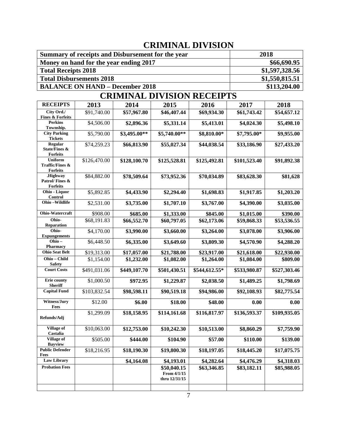### **CRIMINAL DIVISION**

| Summary of receipts and Disbursement for the year | 2018           |
|---------------------------------------------------|----------------|
| Money on hand for the year ending 2017            | \$66,690.95    |
| <b>Total Receipts 2018</b>                        | \$1,597,328.56 |
| <b>Total Disbursements 2018</b>                   | \$1,550,815.51 |
| <b>BALANCE ON HAND – December 2018</b>            | \$113,204.00   |

### **CRIMINAL DIVISION RECEIPTS**

| <b>RECEIPTS</b>                               | 2013                   | 2014         | 2015                                        | 2016          | 2017         | 2018         |
|-----------------------------------------------|------------------------|--------------|---------------------------------------------|---------------|--------------|--------------|
| City Ord./                                    | \$91,740.00            | \$57,967.80  | \$46,407.44                                 | \$69,934.30   | \$61,743.42  | \$54,657.12  |
| <b>Fines &amp; Forfeits</b><br><b>Perkins</b> | \$4,506.00             | \$2,896.36   | \$5,331.14                                  | \$5,413.01    | \$4,024.30   | \$5,498.10   |
| Township.                                     |                        |              |                                             |               |              |              |
| <b>City Parking</b><br><b>Tickets</b>         | \$5,790.00             | \$3,495.00** | \$5,740.00**                                | \$8,810.00*   | \$7,795.00*  | \$9,955.00   |
| Regular<br>State/Fines $\&$                   | \$74,259.23            | \$66,813.90  | \$55,027.34                                 | \$44,038.54   | \$33,186.90  | \$27,433.20  |
| <b>Forfeits</b><br><b>Uniform</b>             | \$126,470.00           | \$128,100.70 | \$125,528.81                                | \$125,492.81  | \$101,523.40 | \$91,892.38  |
| <b>Traffic/Fines &amp;</b><br><b>Forfeits</b> |                        |              |                                             |               |              |              |
| .Highway<br>Patrol/Fines &<br><b>Forfeits</b> | \$84,882.00            | \$78,509.64  | \$73,952.36                                 | \$70,034.89   | \$83,628.30  | \$81,628     |
| Ohio - Liquor<br>Control                      | \$5,892.85             | \$4,433.90   | \$2,294.40                                  | \$1,698.83    | \$1,917.85   | \$1,203.20   |
| Ohio-Wildlife                                 | \$2,531.00             | \$3,735.00   | \$1,707.10                                  | \$3,767.00    | \$4,390.00   | \$3,035.00   |
| Ohio-Watercraft                               | \$908.00               | \$685.00     | \$1,333.00                                  | \$845.00      | \$1,015.00   | \$390.00     |
| Ohio-<br><b>Reparation</b>                    | \$68,191.83            | \$66,552.70  | \$60,797.05                                 | \$62,173.06   | \$59,868.33  | \$53,536.55  |
| Ohio-<br><b>Expungements</b>                  | \$4,170.00             | \$3,990.00   | \$3,660.00                                  | \$3,264.00    | \$3,078.00   | \$3,906.00   |
| Ohio-<br><b>Pharmacy</b>                      | \$6,448.50             | \$6,335.00   | \$3,649.60                                  | \$3,809.30    | \$4,570.90   | \$4,288.20   |
| <b>Ohio Seat Belt</b>                         | \$19,313.00            | \$17,057.00  | \$21,788.00                                 | \$23,917.00   | \$21,618.00  | \$22,930.00  |
| Ohio - Child<br><b>Safety</b>                 | \$1,154.00             | \$1,232.00   | \$1,082.00                                  | \$1,264.00    | \$1,084.00   | \$809.00     |
| <b>Court Costs</b>                            | \$491,031.06           | \$449,107.70 | \$501,430.51                                | \$544,612.55* | \$533,980.87 | \$527,303.46 |
| <b>Erie county</b><br><b>Sheriff</b>          | \$1,000.50             | \$972.95     | \$1,229.87                                  | \$2,038.50    | \$1,489.25   | \$1,798.69   |
| <b>Capital Fund</b>                           | \$103,832.54           | \$98,598.11  | \$90,519.18                                 | \$94,986.00   | \$92,108.93  | \$82,775.54  |
| Witness/Jury<br>Fees                          | \$12.00                | \$6.00       | \$18.00                                     | \$48.00       | 0.00         | 0.00         |
| Refunds/Adj                                   | $\overline{$1,299.09}$ | \$18,158.95  | \$114,161.68                                | \$116,817.97  | \$136,593.37 | \$109,935.05 |
| <b>Village of</b><br>Castalia                 | \$10,063.00            | \$12,753.00  | \$10,242.30                                 | \$10,513.00   | \$8,860.29   | \$7,759.90   |
| <b>Village of</b><br><b>Bayview</b>           | \$505.00               | \$444.00     | \$104.90                                    | \$57.00       | \$110.00     | \$139.00     |
| <b>Public Defender</b><br>Fees                | \$18,216.95            | \$18,190.30  | \$19,800.30                                 | \$18,197.05   | \$18,445.20  | \$17,075.75  |
| <b>Law Library</b>                            |                        | \$4,164.08   | \$4,193.01                                  | \$4,282.64    | \$4,476.29   | \$4,318.03   |
| <b>Probation Fees</b>                         |                        |              | \$50,040.15<br>From 4/1/15<br>thru 12/31/15 | \$63,346.85   | \$83,182.11  | \$85,988.05  |
|                                               |                        |              |                                             |               |              |              |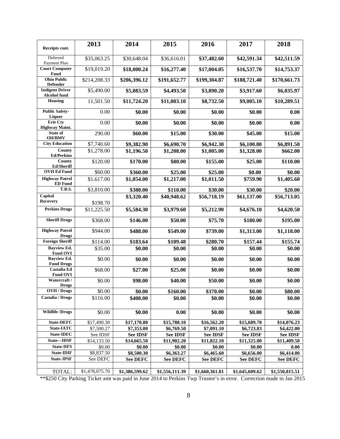| Receipts cont.                                | 2013                  | 2014            | 2015            | 2016            | 2017            | 2018            |
|-----------------------------------------------|-----------------------|-----------------|-----------------|-----------------|-----------------|-----------------|
| Deferred                                      |                       |                 |                 |                 |                 |                 |
| Payment Plan                                  | \$35,063.25           | \$30,648.04     | \$36,616.01     | \$37,482.60     | \$42,591.34     | \$42,511.59     |
| <b>Court Computer</b><br><b>Fund</b>          | \$19,019.20           | \$18,000.24     | \$16,277.40     | \$17,004.05     | \$16,537.70     | \$14,753.37     |
| <b>Ohio Public</b><br><b>Defender</b>         | \$214,208.33          | \$206,396.12    | \$191,652.77    | \$199,304.87    | \$188,721.40    | \$170,661.73    |
| <b>Indigent Driver</b><br><b>Alcohol</b> fund | \$5,490.00            | \$5,083.59      | \$4,493.50      | \$3,890.20      | \$3,917.60      | \$6,035.97      |
| Housing                                       | 11,501.50             | \$11,724.20     | \$11,003.10     | \$8,732.50      | \$9,005.10      | \$10,289.51     |
| <b>Public Safety-</b><br>Liquor               | 0.00                  | \$0.00          | \$0.00          | \$0.00          | \$0.00          | 0.00            |
| <b>Erie Cty</b><br><b>Highway Maint.</b>      | 0.00                  | \$0.00          | \$0.00          | \$0.00          | \$0.00          | 0.00            |
| State of<br><b>OH/BMV</b>                     | 290.00                | \$60.00         | \$15.00         | \$30.00         | \$45.00         | \$15.00         |
| <b>City Education</b>                         | \$7,740.60            | \$9,382.90      | \$6,690.70      | \$6,942.30      | \$6,100.80      | \$6,891.50      |
| County<br><b>Ed/Perkins</b>                   | \$1,278.00            | \$1,196.50      | \$1,208.00      | \$1,005.00      | \$1,328.00      | \$662.00        |
| County<br>Ed/Sheriff                          | \$120.00              | \$170.00        | \$80.00         | \$155.00        | \$25.00         | \$110.00        |
| <b>OVH Ed Fund</b>                            | \$60.00               | \$360.00        | \$25.00         | \$25.00         | \$0.00          | \$0.00          |
| <b>Highway Patrol</b><br><b>ED</b> Fund       | $\overline{1,617.00}$ | \$1,054.00      | \$1,217.00      | \$1,011.50      | \$759.90        | \$1,405.60      |
| <b>T.B.S.</b>                                 | \$3,810.00            | \$380.00        | \$110.00        | \$30.00         | \$30.00         | \$20.00         |
| Capital<br><b>Recovery</b>                    |                       | \$3,320.40      | \$40,948.62     | \$56,718.19     | \$61,137.00     | \$56,713.05     |
|                                               | \$198.70              |                 |                 |                 |                 |                 |
| <b>Perkins Drugs</b>                          | \$11,225.50           | \$5,584.30      | \$3,979.60      | \$5,212.90      | \$4,676.10      | \$4,620.50      |
| <b>Sheriff Drugs</b>                          | \$368.00              | \$146.00        | \$50.00         | \$75.70         | \$180.00        | \$195.00        |
| <b>Highway Patrol</b><br><b>Drugs</b>         | \$944.00              | \$488.00        | \$549.00        | \$739.00        | \$1,313.00      | \$1,118.00      |
| <b>Foreign Sheriff</b>                        | \$114.00              | \$183.64        | \$109.48        | \$280.70        | \$157.44        | \$155.74        |
| <b>Bayview Ed.</b><br><b>Fund OVI</b>         | \$35.00               | \$0.00          | \$0.00          | \$0.00          | \$0.00          | \$0.00          |
| <b>Bayview Ed.</b><br><b>Fund Drugs</b>       | \$0.00                | \$0.00          | \$0.00          | \$0.00          | \$0.00          | \$0.00          |
| Castalia Ed<br><b>Fund OVI</b>                | \$68.00               | \$27.00         | \$25.00         | \$0.00          | \$0.00          | \$0.00          |
| Watercraft /<br><b>Drugs</b>                  | \$0.00                | \$98.00         | \$40.00         | \$50.00         | \$0.00          | \$0.00          |
| <b>OVH</b> / Drugs                            | \$0.00                | \$0.00          | \$160.00        | \$370.00        | \$0.00          | \$80.00         |
| Castalia / Drugs                              | \$116.00              | \$408.00        | \$0.00          | \$0.00          | \$0.00          | \$0.00          |
| <b>Wildlife /Drugs</b>                        | \$0.00                | \$0.00          | 0.00            | \$0.00          | \$0.00          | \$0.00          |
| <b>State-DEFC</b>                             | \$17,490.30           | \$17,170.80     | \$15,788.10     | \$16,562.20     | \$15,689.70     | \$14,076.23     |
| State-IATC                                    | \$7,500.27            | \$7,353.00      | \$6,769.50      | \$7,091.10      | \$6,723.83      | \$4,422.00      |
| State-IDFC                                    | See IDSF              | <b>See IDSF</b> | <b>See IDSF</b> | <b>See IDSF</b> | <b>See IDSF</b> | <b>See IDSF</b> |
| State-IDSF                                    | \$14,133.50           | \$14,665.50     | \$11,902.20     | \$11,822.10     | \$11,325.00     | \$11,409.50     |
| <b>State-IIFS</b>                             | \$0.00                | \$0.00          | \$0.00          | \$0.00          | \$0.00          | 0.00            |
| <b>State-IDIF</b>                             | \$8,837.50            | \$8,500.30      | \$6,363.27      | \$6,465.60      | \$6,656.00      | \$6,414.00      |
| <b>State-JPSF</b>                             | See DEFC              | <b>See DEFC</b> | <b>See DEFC</b> | <b>See DEFC</b> | <b>See DEFC</b> | <b>See DEFC</b> |
| TOTAL:                                        | \$1,478,075.70        | \$1,386,599.62  | \$1,556,111.39  | \$1,660,361.81  | \$1,645,609.62  | \$1,550,815.51  |

\*\*\$250 City Parking Ticket amt was paid in June 2014 to Perkins Twp Trustee's in error. Correction made in Jan 2015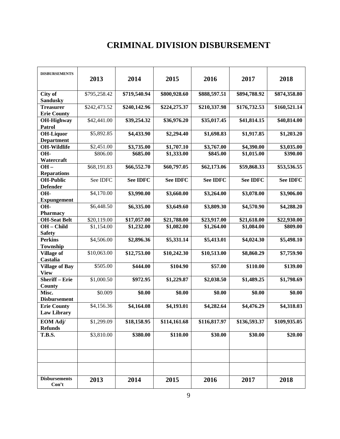### **CRIMINAL DIVISION DISBURSEMENT**

| <b>DISBURSEMENTS</b>                     | 2013         | 2014            | 2015            | 2016            | 2017            | 2018            |
|------------------------------------------|--------------|-----------------|-----------------|-----------------|-----------------|-----------------|
| City of<br><b>Sandusky</b>               | \$795,258.42 | \$719,540.94    | \$800,928.60    | \$888,597.51    | \$894,788.92    | \$874,358.80    |
| <b>Treasurer</b><br><b>Erie County</b>   | \$242,473.52 | \$240,142.96    | \$224,275.37    | \$210,337.98    | \$176,732.53    | \$160,521.14    |
| OH-Highway<br><b>Patrol</b>              | \$42,441.00  | \$39,254.32     | \$36,976.20     | \$35,017.45     | \$41,814.15     | \$40,814.00     |
| <b>OH-Liquor</b><br><b>Department</b>    | \$5,892.85   | \$4,433.90      | \$2,294.40      | \$1,698.83      | \$1,917.85      | \$1,203.20      |
| <b>OH-Wildlife</b>                       | \$2,451.00   | \$3,735.00      | \$1,707.10      | \$3,767.00      | \$4,390.00      | \$3,035.00      |
| OH-<br>Watercraft                        | \$806.00     | \$685.00        | \$1,333.00      | \$845.00        | \$1,015.00      | \$390.00        |
| $OH -$<br><b>Reparations</b>             | \$68,191.83  | \$66,552.70     | \$60,797.05     | \$62,173.06     | \$59,868.33     | \$53,536.55     |
| <b>OH-Public</b><br><b>Defender</b>      | See IDFC     | <b>See IDFC</b> | <b>See IDFC</b> | <b>See IDFC</b> | <b>See IDFC</b> | <b>See IDFC</b> |
| OH-<br><b>Expungement</b>                | \$4,170.00   | \$3,990.00      | \$3,660.00      | \$3,264.00      | \$3,078.00      | \$3,906.00      |
| OH-<br><b>Pharmacy</b>                   | \$6,448.50   | \$6,335.00      | \$3,649.60      | \$3,809.30      | \$4,570.90      | \$4,288.20      |
| <b>OH-Seat Belt</b>                      | \$20,119.00  | \$17,057.00     | \$21,788.00     | \$23,917.00     | \$21,618.00     | \$22,930.00     |
| OH - Child<br><b>Safety</b>              | \$1,154.00   | \$1,232.00      | \$1,082.00      | \$1,264.00      | \$1,084.00      | \$809.00        |
| <b>Perkins</b><br>Township               | \$4,506.00   | \$2,896.36      | \$5,331.14      | \$5,413.01      | \$4,024.30      | \$5,498.10      |
| <b>Village of</b><br>Castalia            | \$10,063.00  | \$12,753.00     | \$10,242.30     | \$10,513.00     | \$8,860.29      | \$7,759.90      |
| <b>Village of Bay</b><br><b>View</b>     | \$505.00     | \$444.00        | \$104.90        | \$57.00         | \$110.00        | \$139.00        |
| <b>Sheriff-Erie</b><br><b>County</b>     | \$1,000.50   | \$972.95        | \$1,229.87      | \$2,038.50      | \$1,489.25      | \$1,798.69      |
| Misc.<br><b>Disbursement</b>             | \$0.009      | \$0.00          | \$0.00          | \$0.00          | \$0.00          | \$0.00          |
| <b>Erie County</b><br><b>Law Library</b> | \$4,156.36   | \$4,164.08      | \$4,193.01      | \$4,282.64      | \$4,476.29      | \$4,318.03      |
| EOM Adj/<br><b>Refunds</b>               | \$1,299.09   | \$18,158.95     | \$114,161.68    | \$116,817.97    | \$136,593.37    | \$109,935.05    |
| <b>T.B.S.</b>                            | \$3,810.00   | \$380.00        | \$110.00        | \$30.00         | \$30.00         | \$20.00         |
|                                          |              |                 |                 |                 |                 |                 |
|                                          |              |                 |                 |                 |                 |                 |
| <b>Disbursements</b><br>Con't            | 2013         | 2014            | 2015            | 2016            | 2017            | 2018            |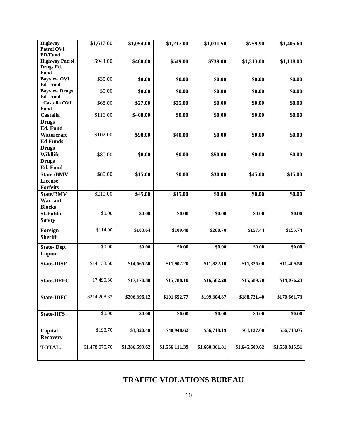| <b>Highway</b>                   | \$1,617.00     | \$1,054.00     | \$1,217.00     | \$1,011.50     | \$759.90       | \$1,405.60     |
|----------------------------------|----------------|----------------|----------------|----------------|----------------|----------------|
| <b>Patrol OVI</b>                |                |                |                |                |                |                |
| <b>ED/Fund</b>                   |                |                |                |                |                |                |
| <b>Highway Patrol</b>            | \$944.00       | \$488.00       | \$549.00       | \$739.00       | \$1,313.00     | \$1,118.00     |
| Drugs Ed.                        |                |                |                |                |                |                |
| Fund                             |                |                |                |                |                |                |
| <b>Bayview OVI</b>               | \$35.00        | \$0.00         | \$0.00         | \$0.00         | \$0.00         | \$0.00         |
| Ed. Fund                         |                |                |                |                |                |                |
| <b>Bayview Drugs</b><br>Ed. Fund | \$0.00         | \$0.00         | \$0.00         | \$0.00         | \$0.00         | \$0.00         |
| <b>Castalia OVI</b>              |                |                |                |                |                |                |
| <b>Fund</b>                      | \$68.00        | \$27.00        | \$25.00        | \$0.00         | \$0.00         | \$0.00         |
| Castalia                         | \$116.00       | \$408.00       | \$0.00         | \$0.00         | \$0.00         | \$0.00         |
|                                  |                |                |                |                |                |                |
| <b>Drugs</b>                     |                |                |                |                |                |                |
| Ed. Fund                         |                |                |                |                |                |                |
| Watercraft                       | \$102.00       | \$98.00        | \$40.00        | \$0.00         | \$0.00         | \$0.00         |
| <b>Ed Funds</b>                  |                |                |                |                |                |                |
| <b>Drugs</b>                     |                |                |                |                |                |                |
| <b>Wildlife</b>                  | \$80.00        | \$0.00         | \$0.00         | \$50.00        | \$0.00         | \$0.00         |
| <b>Drugs</b>                     |                |                |                |                |                |                |
| Ed. Fund                         |                |                |                |                |                |                |
| <b>State /BMV</b>                | \$80.00        | \$15.00        | \$0.00         | \$30.00        | \$45.00        | \$15.00        |
| <b>License</b>                   |                |                |                |                |                |                |
| <b>Forfeits</b>                  |                |                |                |                |                |                |
| <b>State/BMV</b>                 | \$210.00       | \$45.00        | \$15.00        | \$0.00         | \$0.00         | \$0.00         |
| Warrant                          |                |                |                |                |                |                |
| <b>Blocks</b>                    |                |                |                |                |                |                |
| <b>St-Public</b>                 | \$0.00         | \$0.00         | \$0.00         | \$0.00         | \$0.00         | \$0.00         |
| <b>Safety</b>                    |                |                |                |                |                |                |
|                                  |                |                |                |                |                |                |
| Foreign                          | \$114.00       | \$183.64       | \$109.48       | \$280.70       | \$157.44       | \$155.74       |
| <b>Sheriff</b>                   |                |                |                |                |                |                |
| <b>State-Dep.</b>                | \$0.00         | \$0.00         | \$0.00         | \$0.00         | \$0.00         | \$0.00         |
| <b>Liquor</b>                    |                |                |                |                |                |                |
|                                  |                |                |                |                |                |                |
| <b>State-IDSF</b>                | \$14,133.50    | \$14,665.50    | \$11,902.20    | \$11,822.10    | \$11,325.00    | \$11,409.50    |
|                                  |                |                |                |                |                |                |
| <b>State-DEFC</b>                | 17,490.30      | \$17,170.80    | \$15,788.10    | \$16,562.20    | \$15,689.70    | \$14,076.23    |
|                                  |                |                |                |                |                |                |
|                                  |                |                |                |                |                |                |
| <b>State-IDFC</b>                | \$214,208.33   | \$206,396.12   | \$191,652.77   | \$199,304.87   | \$188,721.40   | \$170,661.73   |
|                                  |                |                |                |                |                |                |
|                                  |                |                |                |                |                |                |
| <b>State-IIFS</b>                | \$0.00         | \$0.00         | \$0.00         | \$0.00         | \$0.00         | \$0.00         |
|                                  |                |                |                |                |                |                |
| Capital                          | \$198.70       | \$3,320.40     | \$40,948.62    | \$56,718.19    | \$61,137.00    | \$56,713.05    |
| <b>Recovery</b>                  |                |                |                |                |                |                |
|                                  |                |                |                |                |                |                |
| <b>TOTAL:</b>                    | \$1,478,075.70 | \$1,386,599.62 | \$1,556,111.39 | \$1,660,361.81 | \$1,645,609.62 | \$1,550,815.51 |
|                                  |                |                |                |                |                |                |
|                                  |                |                |                |                |                |                |

#### **TRAFFIC VIOLATIONS BUREAU**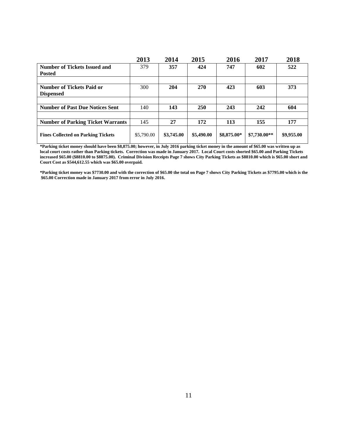|                                           | 2013       | 2014       | 2015       | 2016        | 2017          | 2018       |
|-------------------------------------------|------------|------------|------------|-------------|---------------|------------|
| <b>Number of Tickets Issued and</b>       | 379        | 357        | 424        | 747         | 602           | 522        |
| <b>Posted</b>                             |            |            |            |             |               |            |
| <b>Number of Tickets Paid or</b>          | 300        | 204        | <b>270</b> | 423         | 603           | 373        |
| <b>Dispensed</b>                          |            |            |            |             |               |            |
|                                           |            |            |            |             |               |            |
| <b>Number of Past Due Notices Sent</b>    | 140        | 143        | <b>250</b> | 243         | 242           | 604        |
|                                           |            |            |            |             |               |            |
| <b>Number of Parking Ticket Warrants</b>  | 145        | 27         | 172        | 113         | 155           | 177        |
| <b>Fines Collected on Parking Tickets</b> | \$5,790.00 | \$3,745.00 | \$5,490.00 | \$8,875.00* | $$7,730.00**$ | \$9,955.00 |

**\*Parking ticket money should have been \$8,875.00; however, in July 2016 parking ticket money in the amount of \$65.00 was written up as local court costs rather than Parking tickets. Correction was made in January 2017. Local Court costs shorted \$65.00 and Parking Tickets increased \$65.00 (\$8810.00 to \$8875.00). Criminal Division Receipts Page 7 shows City Parking Tickets as \$8810.00 which is \$65.00 short and Court Cost as \$544,612.55 which was \$65.00 overpaid.**

**\*Parking ticket money was \$7730.00 and with the correction of \$65.00 the total on Page 7 shows City Parking Tickets as \$7795.00 which is the \$65.00 Correction made in January 2017 from error in July 2016.**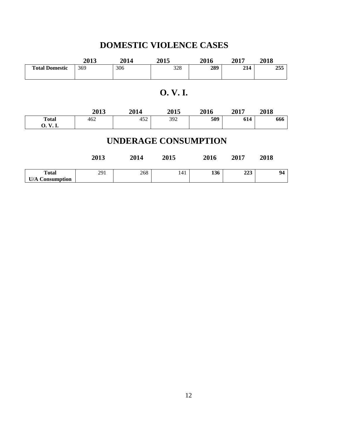## **DOMESTIC VIOLENCE CASES**

|                       | 2013 | 2014 | 2015 | 2016 | 2017 | 2018 |
|-----------------------|------|------|------|------|------|------|
| <b>Total Domestic</b> | 369  | 306  | 328  | 289  | 214  | 255  |
|                       |      |      |      |      |      |      |

### **O. V. I.**

|                             | 2013 | 2014 | 2015 | 2016 | 2017 | 2018 |  |  |  |  |
|-----------------------------|------|------|------|------|------|------|--|--|--|--|
| <b>Total</b>                | 462  | 452  | 392  | 509  | 614  | 666  |  |  |  |  |
| 0. V. I.                    |      |      |      |      |      |      |  |  |  |  |
| <b>UNDERAGE CONSUMPTION</b> |      |      |      |      |      |      |  |  |  |  |
|                             | 2013 | 2014 | 2015 | 2016 | 2017 | 2018 |  |  |  |  |
| <b>Total</b>                | 291  | 268  | 141  | 136  | 223  | 94   |  |  |  |  |
| <b>U/A Consumption</b>      |      |      |      |      |      |      |  |  |  |  |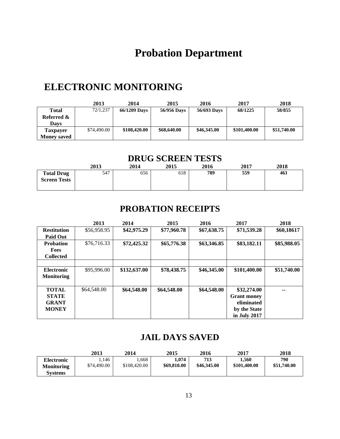## **Probation Department**

## **ELECTRONIC MONITORING**

|                    | 2013        | 2014         | 2015        | 2016        | 2017         | 2018        |
|--------------------|-------------|--------------|-------------|-------------|--------------|-------------|
| Total              | 72/1,237    | 66/1209 Days | 56/956 Days | 56/693 Days | 68/1225      | 58/855      |
| Referred &         |             |              |             |             |              |             |
| <b>Davs</b>        |             |              |             |             |              |             |
| Taxpayer           | \$74,490.00 | \$108,420.00 | \$68,640.00 | \$46,345.00 | \$101,400.00 | \$51,740.00 |
| <b>Money saved</b> |             |              |             |             |              |             |

### **DRUG SCREEN TESTS**

|                                          | 2013 | 2014 | 2015 | 2016 | 2017 | 2018 |
|------------------------------------------|------|------|------|------|------|------|
| <b>Total Drug</b><br><b>Screen Tests</b> | 547  | 656  | 618  | 789  | 559  | 461  |

### **PROBATION RECEIPTS**

|                    | 2013        | 2014         | 2015        | 2016        | 2017               | 2018        |
|--------------------|-------------|--------------|-------------|-------------|--------------------|-------------|
| <b>Restitution</b> | \$56,958.95 | \$42,975.29  | \$77,960.78 | \$67,638.75 | \$71,539.28        | \$60,18617  |
| <b>Paid Out</b>    |             |              |             |             |                    |             |
| <b>Probation</b>   | \$76,716.33 | \$72,425.32  | \$65,776.38 | \$63,346.85 | \$83,182.11        | \$85,988.05 |
| <b>Fees</b>        |             |              |             |             |                    |             |
| <b>Collected</b>   |             |              |             |             |                    |             |
|                    |             |              |             |             |                    |             |
| <b>Electronic</b>  | \$95,996.00 | \$132,637.00 | \$78,438.75 | \$46,345.00 | \$101,400.00       | \$51,740.00 |
| <b>Monitoring</b>  |             |              |             |             |                    |             |
|                    |             |              |             |             |                    |             |
| <b>TOTAL</b>       | \$64,548.00 | \$64,548.00  | \$64,548.00 | \$64,548.00 | \$32,274.00        |             |
| <b>STATE</b>       |             |              |             |             | <b>Grant money</b> |             |
| <b>GRANT</b>       |             |              |             |             | eliminated         |             |
| <b>MONEY</b>       |             |              |             |             | by the State       |             |
|                    |             |              |             |             | in July 2017       |             |

### **JAIL DAYS SAVED**

|                                        | 2013                 | 2014                 | 2015                | 2016               | 2017                  | 2018               |
|----------------------------------------|----------------------|----------------------|---------------------|--------------------|-----------------------|--------------------|
| <b>Electronic</b><br><b>Monitoring</b> | 1.146<br>\$74,490.00 | .668<br>\$108,420.00 | .074<br>\$69,810.00 | 713<br>\$46,345.00 | 1.560<br>\$101,400.00 | 790<br>\$51,740.00 |
| Svstems                                |                      |                      |                     |                    |                       |                    |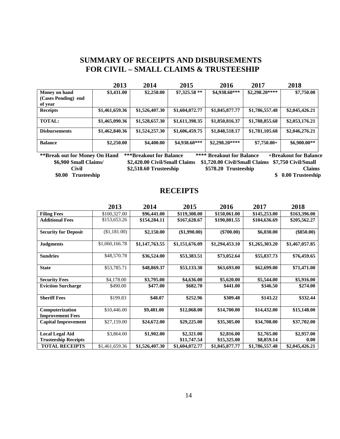#### **SUMMARY OF RECEIPTS AND DISBURSEMENTS FOR CIVIL – SMALL CLAIMS & TRUSTEESHIP**

|                      | 2013           | 2014           | 2015           | 2016           | 2017           | 2018           |
|----------------------|----------------|----------------|----------------|----------------|----------------|----------------|
| Money on hand        | \$3,431.00     | \$2,250.00     | $$7,325.58**$  | \$4,938.60***  | $$2,298.20***$ | \$7,750.00     |
| (Cases Pending) end  |                |                |                |                |                |                |
| of year              |                |                |                |                |                |                |
| <b>Receipts</b>      | \$1,461,659.36 | \$1,526,407.30 | \$1,604,072.77 | \$1,845,877.77 | \$1,786,557.48 | \$2,045,426.21 |
|                      |                |                |                |                |                |                |
| <b>TOTAL:</b>        | \$1,465,090.36 | \$1,528,657.30 | \$1,611,398.35 | \$1,850,816.37 | \$1,788,855.68 | \$2,053,176.21 |
| <b>Disbursements</b> | \$1,462,840.36 | \$1,524,257.30 | \$1,606,459.75 | \$1,848,518.17 | \$1,781,105.68 | \$2,046,276.21 |
| <b>Balance</b>       | \$2,250.00     | \$4,400.00     | \$4,938.60***  | $$2,298,20***$ | $$7,750.00+$   | \$6,900.00**   |
| $\cdots$             |                |                |                |                |                |                |

**\*\*Break out for Money On Hand \*\*\*Breakout for Balance \*\*\*\* Breakout for Balance +Breakout for Balance \$6,900 Small Claims/ \$2,420.00 Civil/Small Claims \$1,720.00 Civil/Small Claims \$7,750 Civil/Small \$2,518.60 Trusteeship \$578.20 Trusteeship Claims** \$ 0.00 Trusteeship \$0.00 Trusteeship

#### **RECEIPTS**

|                             | 2013           | 2014           | 2015           | 2016           | 2017           | 2018           |
|-----------------------------|----------------|----------------|----------------|----------------|----------------|----------------|
| <b>Filing Fees</b>          | \$100,327.00   | \$96,441.00    | \$119,308.00   | \$150,061.00   | \$145,253.00   | \$163,396.00   |
| <b>Additional Fees</b>      | \$153,653.26   | \$154,284.11   | \$167,628.67   | \$190,801.55   | \$184,636.69   | \$205,562.27   |
|                             |                |                |                |                |                |                |
| <b>Security for Deposit</b> | (\$1,181.00)   | \$2,150.00     | (\$1,990.00)   | $(\$700.00)$   | \$6,030.00     | $(\$850.00)$   |
|                             | \$1,060,166.78 |                | \$1,151,676.09 | \$1,294,453.10 |                |                |
| <b>Judgments</b>            |                | \$1,147,763.55 |                |                | \$1,265,303.20 | \$1,467,057.85 |
| <b>Sundries</b>             | \$48,570.78    | \$36,524.00    | \$53,383.51    | \$73,052.64    | \$55,837.73    | \$76,459.65    |
|                             |                |                |                |                |                |                |
| <b>State</b>                | \$53,785.71    | \$48,869.37    | \$53,133.30    | \$63,693.00    | \$62,699.00    | \$71,471.00    |
|                             |                |                |                |                |                |                |
| <b>Security Fees</b>        | \$4,178.00     | \$3,795.00     | \$4,636.00     | \$5,620.00     | \$5,544.00     | \$5,916.00     |
| <b>Eviction Surcharge</b>   | \$490.00       | \$477.00       | \$682.70       | \$441.00       | \$346.50       | \$274.00       |
|                             |                |                |                |                |                |                |
| <b>Sheriff Fees</b>         | \$199.83       | \$48.07        | \$252.96       | \$309.48       | \$143.22       | \$332.44       |
|                             |                |                |                |                |                |                |
| Computerization             | \$10,446.00    | \$9,481.00     | \$12,068.00    | \$14,700.00    | \$14,432.00    | \$15,148.00    |
| <b>Improvement Fees</b>     |                |                |                |                |                |                |
| <b>Capital Improvement</b>  | \$27,159.00    | \$24,672.00    | \$29,225.00    | \$35,305.00    | \$34,708.00    | \$37,702.00    |
|                             |                |                |                |                |                |                |
| <b>Local Legal Aid</b>      | \$3,864.00     | \$1,902.00     | \$2,321.00     | \$2,816.00     | \$2,765.00     | \$2,957.00     |
| <b>Trusteeship Receipts</b> |                |                | \$11,747.54    | \$15,325.00    | \$8,859.14     | 0.00           |
| <b>TOTAL RECEIPTS</b>       | \$1,461,659.36 | \$1,526,407.30 | \$1,604,072.77 | \$1,845,877.77 | \$1,786,557.48 | \$2,045,426.21 |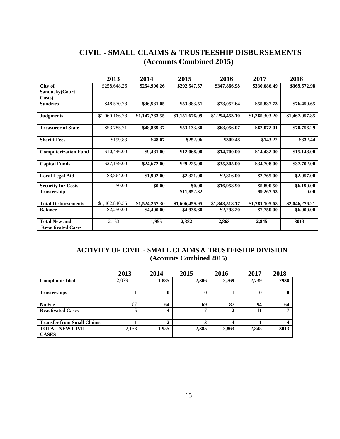#### **CIVIL - SMALL CLAIMS & TRUSTEESHIP DISBURSEMENTS (Accounts Combined 2015)**

|                             | 2013           | 2014           | 2015           | 2016           | 2017           | 2018           |
|-----------------------------|----------------|----------------|----------------|----------------|----------------|----------------|
| City of                     | \$258,648.26   | \$254,990.26   | \$292,547.57   | \$347,866.98   | \$330,686.49   | \$369,672.98   |
| Sandusky(Court              |                |                |                |                |                |                |
| Costs)                      |                |                |                |                |                |                |
| <b>Sundries</b>             | \$48,570.78    | \$36,531.05    | \$53,383.51    | \$73,052.64    | \$55,837.73    | \$76,459.65    |
| <b>Judgments</b>            | \$1,060,166.78 | \$1,147,763.55 | \$1,151,676.09 | \$1,294,453.10 | \$1,265,303.20 | \$1,467,057.85 |
| <b>Treasurer of State</b>   | \$53,785.71    | \$48,869.37    | \$53,133.30    | \$63,056.07    | \$62,072.01    | \$70,756.29    |
| <b>Sheriff Fees</b>         | \$199.83       | \$48.07        | \$252.96       | \$309.48       | \$143.22       | \$332.44       |
| <b>Computerization Fund</b> | \$10,446.00    | \$9,481.00     | \$12,068.00    | \$14,700.00    | \$14,432.00    | \$15,148.00    |
| <b>Capital Funds</b>        | \$27,159.00    | \$24,672.00    | \$29,225.00    | \$35,305.00    | \$34,708.00    | \$37,702.00    |
| <b>Local Legal Aid</b>      | \$3,864.00     | \$1,902.00     | \$2,321.00     | \$2,816.00     | \$2,765.00     | \$2,957.00     |
| <b>Security for Costs</b>   | \$0.00         | \$0.00         | \$0.00         | \$16,958.90    | \$5,890.50     | \$6,190.00     |
| <b>Trusteeship</b>          |                |                | \$11,852.32    |                | \$9,267.53     | 0.00           |
| <b>Total Disbursements</b>  | \$1,462.840.36 | \$1,524,257.30 | \$1,606,459.95 | \$1,848,518.17 | \$1,781,105.68 | \$2,046,276.21 |
| <b>Balance</b>              | \$2,250.00     | \$4,400.00     | \$4,938.60     | \$2,298.20     | \$7,750.00     | \$6,900.00     |
| <b>Total New and</b>        | 2,153          | 1,955          | 2,382          | 2,863          | 2,845          | 3013           |
| <b>Re-activated Cases</b>   |                |                |                |                |                |                |

#### **ACTIVITY OF CIVIL - SMALL CLAIMS & TRUSTEESHIP DIVISION (Accounts Combined 2015)**

|                                        | 2013  | 2014  | 2015  | 2016  | 2017  | 2018   |
|----------------------------------------|-------|-------|-------|-------|-------|--------|
| <b>Complaints filed</b>                | 2,079 | 1,885 | 2,306 | 2,769 | 2,739 | 2938   |
| <b>Trusteeships</b>                    |       |       |       |       |       | $_{0}$ |
| No Fee                                 | 67    | 64    | 69    | 87    | 94    | 64     |
| <b>Reactivated Cases</b>               |       | 4     | −     | Δ     | 11    | 7      |
| <b>Transfer from Small Claims</b>      |       | ↑     |       |       |       |        |
| <b>TOTAL NEW CIVIL</b><br><b>CASES</b> | 2,153 | 1,955 | 2,385 | 2,863 | 2,845 | 3013   |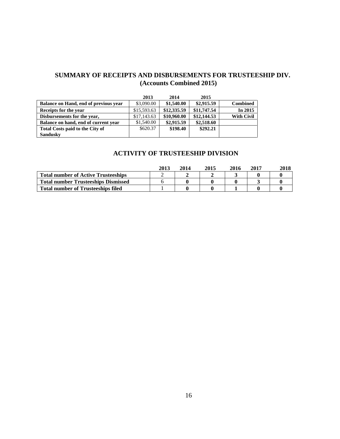#### **SUMMARY OF RECEIPTS AND DISBURSEMENTS FOR TRUSTEESHIP DIV. (Accounts Combined 2015)**

|                                       | 2013        | 2014        | 2015        |                   |
|---------------------------------------|-------------|-------------|-------------|-------------------|
| Balance on Hand, end of previous year | \$3,090.00  | \$1,540.00  | \$2,915.59  | <b>Combined</b>   |
| Receipts for the year                 | \$15,593.63 | \$12,335.59 | \$11,747.54 | In 2015           |
| Disbursements for the year,           | \$17,143.63 | \$10,960.00 | \$12,144.53 | <b>With Civil</b> |
| Balance on hand, end of current year  | \$1,540.00  | \$2,915.59  | \$2,518.60  |                   |
| Total Costs paid to the City of       | \$620.37    | \$198.40    | \$292.21    |                   |
| <b>Sandusky</b>                       |             |             |             |                   |

#### **ACTIVITY OF TRUSTEESHIP DIVISION**

|                                            | 2013 | 2014 | 2015 | 2016 | 2017 | 2018 |
|--------------------------------------------|------|------|------|------|------|------|
| <b>Total number of Active Trusteeships</b> |      |      |      |      |      |      |
| <b>Total number Trusteeships Dismissed</b> |      |      |      |      |      |      |
| <b>Total number of Trusteeships filed</b>  |      |      |      |      |      |      |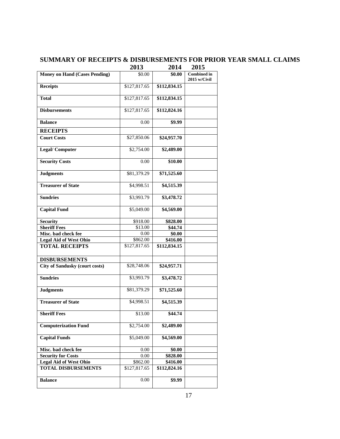#### **SUMMARY OF RECEIPTS & DISBURSEMENTS FOR PRIOR YEAR SMALL CLAIMS**

|                                       | 2013         | 2014         | 2015                               |
|---------------------------------------|--------------|--------------|------------------------------------|
| <b>Money on Hand (Cases Pending)</b>  | \$0.00       | \$0.00       | <b>Combined</b> in<br>2015 w/Civil |
| <b>Receipts</b>                       | \$127,817.65 | \$112,834.15 |                                    |
| <b>Total</b>                          | \$127,817.65 | \$112,834.15 |                                    |
| <b>Disbursements</b>                  | \$127,817.65 | \$112,824.16 |                                    |
| <b>Balance</b>                        | 0.00         | \$9.99       |                                    |
| <b>RECEIPTS</b>                       |              |              |                                    |
| <b>Court Costs</b>                    | \$27,850.06  | \$24,957.70  |                                    |
| <b>Legal/Computer</b>                 | \$2,754.00   | \$2,489.00   |                                    |
| <b>Security Costs</b>                 | 0.00         | \$10.00      |                                    |
| <b>Judgments</b>                      | \$81,379.29  | \$71,525.60  |                                    |
| <b>Treasurer of State</b>             | \$4,998.51   | \$4,515.39   |                                    |
| <b>Sundries</b>                       | \$3,993.79   | \$3,478.72   |                                    |
| <b>Capital Fund</b>                   | \$5,049.00   | \$4,569.00   |                                    |
| Security                              | \$918.00     | \$828.00     |                                    |
| <b>Sheriff Fees</b>                   | \$13.00      | \$44.74      |                                    |
| Misc. bad check fee                   | 0.00         | \$0.00       |                                    |
| <b>Legal Aid of West Ohio</b>         | \$862.00     | \$416.00     |                                    |
| <b>TOTAL RECEIPTS</b>                 | \$127,817.65 | \$112,834.15 |                                    |
| <b>DISBURSEMENTS</b>                  |              |              |                                    |
| <b>City of Sandusky (court costs)</b> | \$28,748.06  | \$24,957.71  |                                    |
| <b>Sundries</b>                       | \$3,993.79   | \$3,478.72   |                                    |
| <b>Judgments</b>                      | \$81,379.29  | \$71,525.60  |                                    |
| <b>Treasurer of State</b>             | \$4,998.51   | \$4,515.39   |                                    |
| <b>Sheriff Fees</b>                   | \$13.00      | \$44.74      |                                    |
| <b>Computerization Fund</b>           | \$2,754.00   | \$2,489.00   |                                    |
| <b>Capital Funds</b>                  | \$5,049.00   | \$4,569.00   |                                    |
| Misc. bad check fee                   | 0.00         | \$0.00       |                                    |
| <b>Security for Costs</b>             | 0.00         | \$828.00     |                                    |
| <b>Legal Aid of West Ohio</b>         | \$862.00     | \$416.00     |                                    |
| <b>TOTAL DISBURSEMENTS</b>            | \$127,817.65 | \$112,824.16 |                                    |
| <b>Balance</b>                        | 0.00         | \$9.99       |                                    |